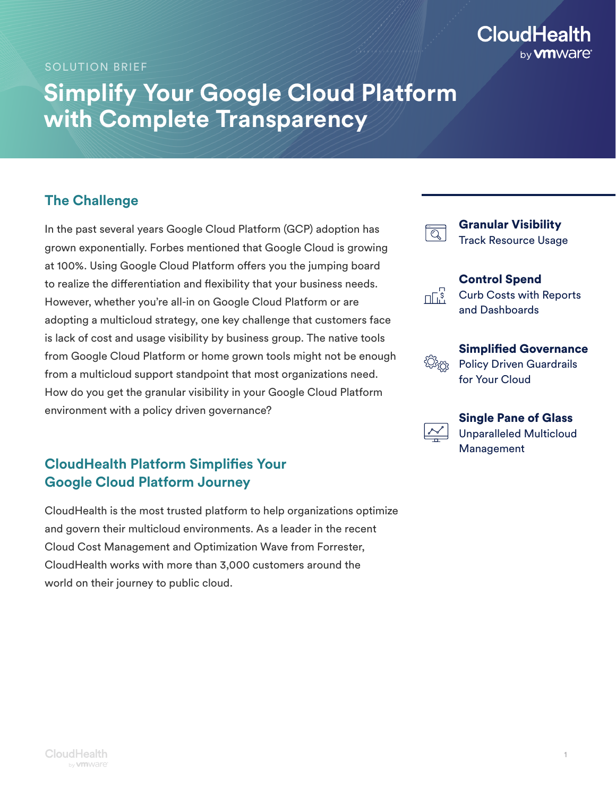# **CloudHealth** by **vm**Ware<sup>®</sup>

SOLUTION BRIEF

# **Simplify Your Google Cloud Platform with Complete Transparency**

### **The Challenge**

In the past several years Google Cloud Platform (GCP) adoption has grown exponentially. Forbes mentioned that Google Cloud is growing at 100%. Using Google Cloud Platform offers you the jumping board to realize the differentiation and flexibility that your business needs. However, whether you're all-in on Google Cloud Platform or are adopting a multicloud strategy, one key challenge that customers face is lack of cost and usage visibility by business group. The native tools from Google Cloud Platform or home grown tools might not be enough from a multicloud support standpoint that most organizations need. How do you get the granular visibility in your Google Cloud Platform environment with a policy driven governance?

## **CloudHealth Platform Simplifies Your Google Cloud Platform Journey**

CloudHealth is the most trusted platform to help organizations optimize and govern their multicloud environments. As a leader in the recent Cloud Cost Management and Optimization Wave from Forrester, CloudHealth works with more than 3,000 customers around the world on their journey to public cloud.

|               | <b>Granular Visibility</b><br><b>Track Resource Usage</b>                         |
|---------------|-----------------------------------------------------------------------------------|
| $\mathcal{S}$ | <b>Control Spend</b><br><b>Curb Costs with Reports</b><br>and Dashboards          |
|               | <b>Simplified Governance</b><br><b>Policy Driven Guardrails</b><br>for Your Cloud |



Single Pane of Glass

Unparalleled Multicloud Management